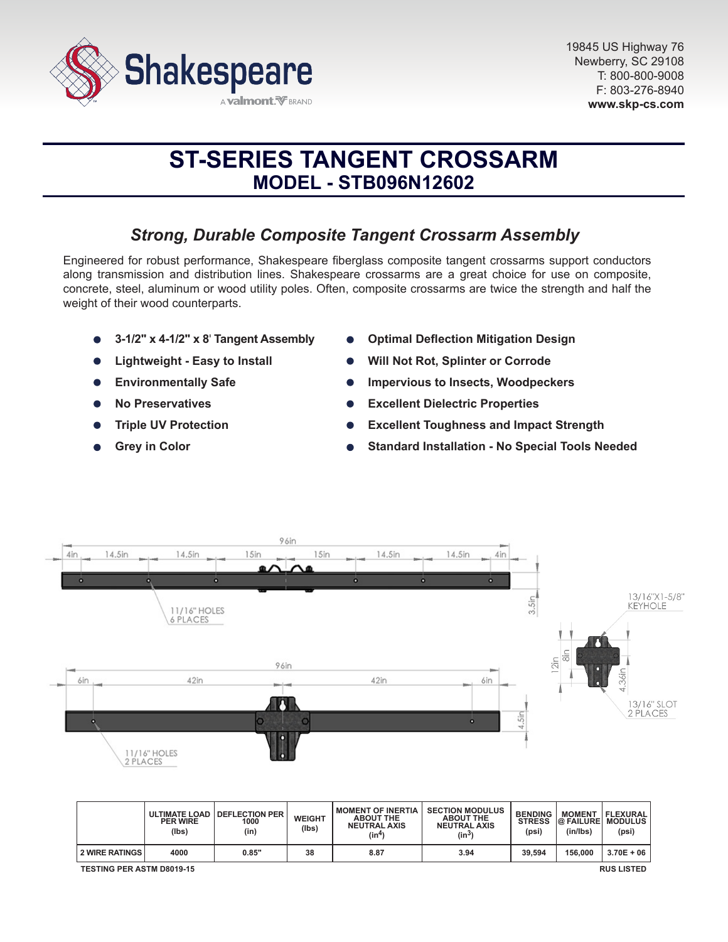

# **ST-SERIES TANGENT CROSSARM MODEL - STB096N12602**

# *Strong, Durable Composite Tangent Crossarm Assembly*

Engineered for robust performance, Shakespeare fiberglass composite tangent crossarms support conductors along transmission and distribution lines. Shakespeare crossarms are a great choice for use on composite, concrete, steel, aluminum or wood utility poles. Often, composite crossarms are twice the strength and half the weight of their wood counterparts.

- **3-1/2" x 4-1/2" x 8**' **Tangent Assembly**
- **Lightweight Easy to Install**
- **Environmentally Safe**  $\bullet$
- **No Preservatives**
- **Triple UV Protection**
- **Grey in Color**
- **Optimal Deflection Mitigation Design**
- **Will Not Rot, Splinter or Corrode**
- **Impervious to Insects, Woodpeckers**
- **Excellent Dielectric Properties**
- **Excellent Toughness and Impact Strength**
- **Standard Installation No Special Tools Needed**



|                                  | <b>ULTIMATE LOAD</b><br><b>PER WIRE</b><br>(lbs) | <b>DEFLECTION PER</b><br>1000<br>(in) | <b>WEIGHT</b><br>(lbs) | <b>MOMENT OF INERTIA</b><br><b>ABOUT THE</b><br><b>NEUTRAL AXIS</b><br>(in <sup>4</sup> ) | <b>SECTION MODULUS</b><br><b>ABOUT THE</b><br><b>NEUTRAL AXIS</b><br>$(in^3)$ | <b>BENDING</b><br><b>STRESS</b><br>(psi) | <b>MOMENT</b><br><b>@ FAILURE MODULUS</b><br>(in/lbs) | <b>IFLEXURAL</b><br>(psi) |
|----------------------------------|--------------------------------------------------|---------------------------------------|------------------------|-------------------------------------------------------------------------------------------|-------------------------------------------------------------------------------|------------------------------------------|-------------------------------------------------------|---------------------------|
| 2 WIRE RATINGS                   | 4000                                             | 0.85"                                 | 38                     | 8.87                                                                                      | 3.94                                                                          | 39.594                                   | 156,000                                               | $3.70E + 06$              |
| <b>TESTING PER ASTM D8019-15</b> |                                                  |                                       |                        |                                                                                           |                                                                               |                                          |                                                       | <b>RUS LISTED</b>         |